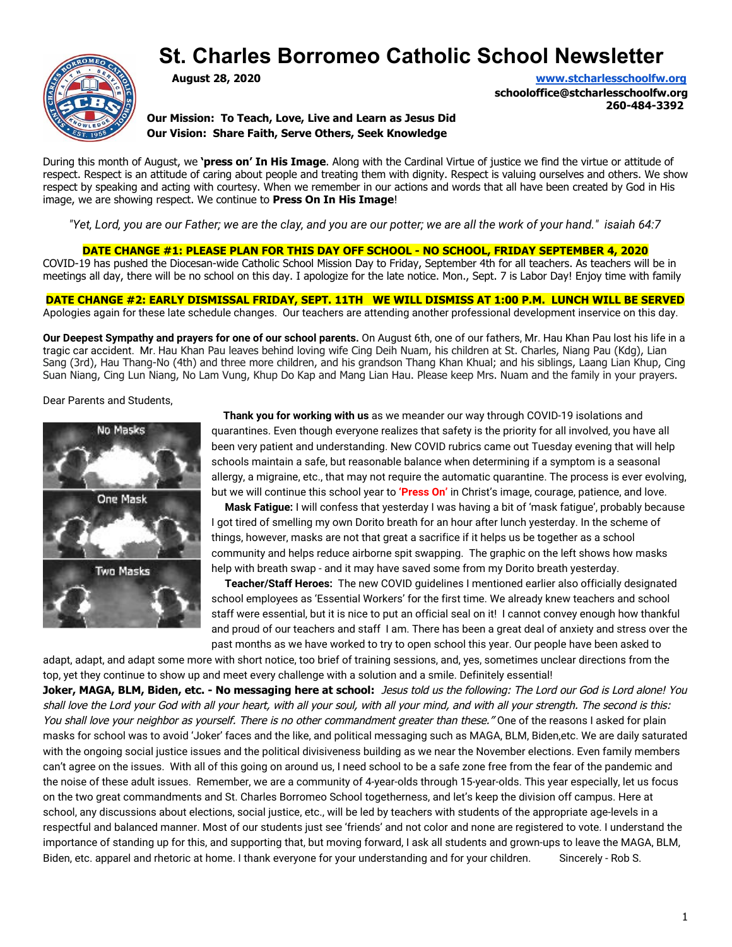# **St. Charles Borromeo Catholic School Newsletter**



**August 28, 2020 [www.stcharlesschoolfw.org](http://www.stcharlesschoolfw.org/)**

**schooloffice@stcharlesschoolfw.org 260-484-3392**

**Our Mission: To Teach, Love, Live and Learn as Jesus Did Our Vision: Share Faith, Serve Others, Seek Knowledge**

During this month of August, we **'press on' In His Image**. Along with the Cardinal Virtue of justice we find the virtue or attitude of respect. Respect is an attitude of caring about people and treating them with dignity. Respect is valuing ourselves and others. We show respect by speaking and acting with courtesy. When we remember in our actions and words that all have been created by God in His image, we are showing respect. We continue to **Press On In His Image**!

"Yet, Lord, you are our Father; we are the clay, and you are our potter; we are all the work of your hand." isaiah 64:7

**DATE CHANGE #1: PLEASE PLAN FOR THIS DAY OFF SCHOOL - NO SCHOOL, FRIDAY SEPTEMBER 4, 2020** COVID-19 has pushed the Diocesan-wide Catholic School Mission Day to Friday, September 4th for all teachers. As teachers will be in meetings all day, there will be no school on this day. I apologize for the late notice. Mon., Sept. 7 is Labor Day! Enjoy time with family

**DATE CHANGE #2: EARLY DISMISSAL FRIDAY, SEPT. 11TH WE WILL DISMISS AT 1:00 P.M. LUNCH WILL BE SERVED** Apologies again for these late schedule changes. Our teachers are attending another professional development inservice on this day.

**Our Deepest Sympathy and prayers for one of our school parents.** On August 6th, one of our fathers, Mr. Hau Khan Pau lost his life in a tragic car accident. Mr. Hau Khan Pau leaves behind loving wife Cing Deih Nuam, his children at St. Charles, Niang Pau (Kdg), Lian Sang (3rd), Hau Thang-No (4th) and three more children, and his grandson Thang Khan Khual; and his siblings, Laang Lian Khup, Cing Suan Niang, Cing Lun Niang, No Lam Vung, Khup Do Kap and Mang Lian Hau. Please keep Mrs. Nuam and the family in your prayers.

Dear Parents and Students,



**Thank you for working with us** as we meander our way through COVID-19 isolations and quarantines. Even though everyone realizes that safety is the priority for all involved, you have all been very patient and understanding. New COVID rubrics came out Tuesday evening that will help schools maintain a safe, but reasonable balance when determining if a symptom is a seasonal allergy, a migraine, etc., that may not require the automatic quarantine. The process is ever evolving, but we will continue this school year to **'Press On'** in Christ's image, courage, patience, and love.

 **Mask Fatigue:** I will confess that yesterday I was having a bit of 'mask fatigue', probably because I got tired of smelling my own Dorito breath for an hour after lunch yesterday. In the scheme of things, however, masks are not that great a sacrifice if it helps us be together as a school community and helps reduce airborne spit swapping. The graphic on the left shows how masks help with breath swap - and it may have saved some from my Dorito breath yesterday.

 **Teacher/Staff Heroes:** The new COVID guidelines I mentioned earlier also officially designated school employees as 'Essential Workers' for the first time. We already knew teachers and school staff were essential, but it is nice to put an official seal on it! I cannot convey enough how thankful and proud of our teachers and staff I am. There has been a great deal of anxiety and stress over the past months as we have worked to try to open school this year. Our people have been asked to

adapt, adapt, and adapt some more with short notice, too brief of training sessions, and, yes, sometimes unclear directions from the top, yet they continue to show up and meet every challenge with a solution and a smile. Definitely essential! **Joker, MAGA, BLM, Biden, etc. - No messaging here at school:** Jesus told us the following: The Lord our God is Lord alone! You shall love the Lord your God with all your heart, with all your soul, with all your mind, and with all your strength. The second is this: You shall love your neighbor as yourself. There is no other commandment greater than these." One of the reasons I asked for plain masks for school was to avoid 'Joker' faces and the like, and political messaging such as MAGA, BLM, Biden,etc. We are daily saturated

with the ongoing social justice issues and the political divisiveness building as we near the November elections. Even family members can't agree on the issues. With all of this going on around us, I need school to be a safe zone free from the fear of the pandemic and the noise of these adult issues. Remember, we are a community of 4-year-olds through 15-year-olds. This year especially, let us focus on the two great commandments and St. Charles Borromeo School togetherness, and let's keep the division off campus. Here at school, any discussions about elections, social justice, etc., will be led by teachers with students of the appropriate age-levels in a respectful and balanced manner. Most of our students just see 'friends' and not color and none are registered to vote. I understand the importance of standing up for this, and supporting that, but moving forward, I ask all students and grown-ups to leave the MAGA, BLM, Biden, etc. apparel and rhetoric at home. I thank everyone for your understanding and for your children. Sincerely - Rob S.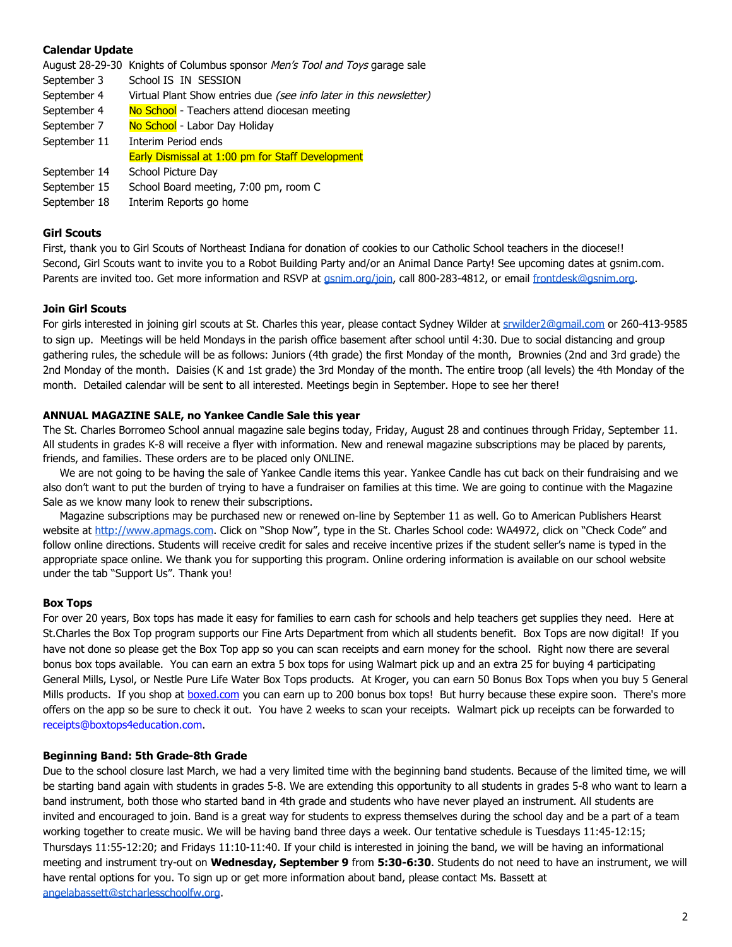# **Calendar Update**

August 28-29-30 Knights of Columbus sponsor Men's Tool and Toys garage sale

- September 3 School IS IN SESSION
- September 4 Virtual Plant Show entries due (see info later in this newsletter)
- September 4 No School Teachers attend diocesan meeting
- September 7 No School Labor Day Holiday
- September 11 Interim Period ends
	- Early Dismissal at 1:00 pm for Staff Development
- September 14 School Picture Day
- September 15 School Board meeting, 7:00 pm, room C
- September 18 Interim Reports go home

### **Girl Scouts**

First, thank you to Girl Scouts of Northeast Indiana for donation of cookies to our Catholic School teachers in the diocese!! Second, Girl Scouts want to invite you to a Robot Building Party and/or an Animal Dance Party! See upcoming dates at gsnim.com. Parents are invited too. Get more information and RSVP at *[gsnim.org/join](https://www.girlscoutsnorthernindiana-michiana.org/en/about-girl-scouts/join.html)*, call 800-283-4812, or email [frontdesk@gsnim.org.](mailto:frontdesk@gsnim.org)

# **Join Girl Scouts**

For girls interested in joining girl scouts at St. Charles this year, please contact Sydney Wilder at [srwilder2@gmail.com](mailto:srwilder2@gmail.com) or 260-413-9585 to sign up. Meetings will be held Mondays in the parish office basement after school until 4:30. Due to social distancing and group gathering rules, the schedule will be as follows: Juniors (4th grade) the first Monday of the month, Brownies (2nd and 3rd grade) the 2nd Monday of the month. Daisies (K and 1st grade) the 3rd Monday of the month. The entire troop (all levels) the 4th Monday of the month. Detailed calendar will be sent to all interested. Meetings begin in September. Hope to see her there!

# **ANNUAL MAGAZINE SALE, no Yankee Candle Sale this year**

The St. Charles Borromeo School annual magazine sale begins today, Friday, August 28 and continues through Friday, September 11. All students in grades K-8 will receive a flyer with information. New and renewal magazine subscriptions may be placed by parents, friends, and families. These orders are to be placed only ONLINE.

 We are not going to be having the sale of Yankee Candle items this year. Yankee Candle has cut back on their fundraising and we also don't want to put the burden of trying to have a fundraiser on families at this time. We are going to continue with the Magazine Sale as we know many look to renew their subscriptions.

 Magazine subscriptions may be purchased new or renewed on-line by September 11 as well. Go to American Publishers Hearst website a[t http://www.apmags.com](http://www.apmags.com/). Click on "Shop Now", type in the St. Charles School code: WA4972, click on "Check Code" and follow online directions. Students will receive credit for sales and receive incentive prizes if the student seller's name is typed in the appropriate space online. We thank you for supporting this program. Online ordering information is available on our school website under the tab "Support Us". Thank you!

#### **Box Tops**

For over 20 years, Box tops has made it easy for families to earn cash for schools and help teachers get supplies they need. Here at St.Charles the Box Top program supports our Fine Arts Department from which all students benefit. Box Tops are now digital! If you have not done so please get the Box Top app so you can scan receipts and earn money for the school. Right now there are several bonus box tops available. You can earn an extra 5 box tops for using Walmart pick up and an extra 25 for buying 4 participating General Mills, Lysol, or Nestle Pure Life Water Box Tops products. At Kroger, you can earn 50 Bonus Box Tops when you buy 5 General Mills products. If you shop at **[boxed.com](http://boxed.com/)** you can earn up to 200 bonus box tops! But hurry because these expire soon. There's more offers on the app so be sure to check it out. You have 2 weeks to scan your receipts. Walmart pick up receipts can be forwarded to receipts@boxtops4education.com.

### **Beginning Band: 5th Grade-8th Grade**

Due to the school closure last March, we had a very limited time with the beginning band students. Because of the limited time, we will be starting band again with students in grades 5-8. We are extending this opportunity to all students in grades 5-8 who want to learn a band instrument, both those who started band in 4th grade and students who have never played an instrument. All students are invited and encouraged to join. Band is a great way for students to express themselves during the school day and be a part of a team working together to create music. We will be having band three days a week. Our tentative schedule is Tuesdays 11:45-12:15; Thursdays 11:55-12:20; and Fridays 11:10-11:40. If your child is interested in joining the band, we will be having an informational meeting and instrument try-out on **Wednesday, September 9** from **5:30-6:30**. Students do not need to have an instrument, we will have rental options for you. To sign up or get more information about band, please contact Ms. Bassett at [angelabassett@stcharlesschoolfw.org](mailto:angelabassett@stcharlesschoolfw.org).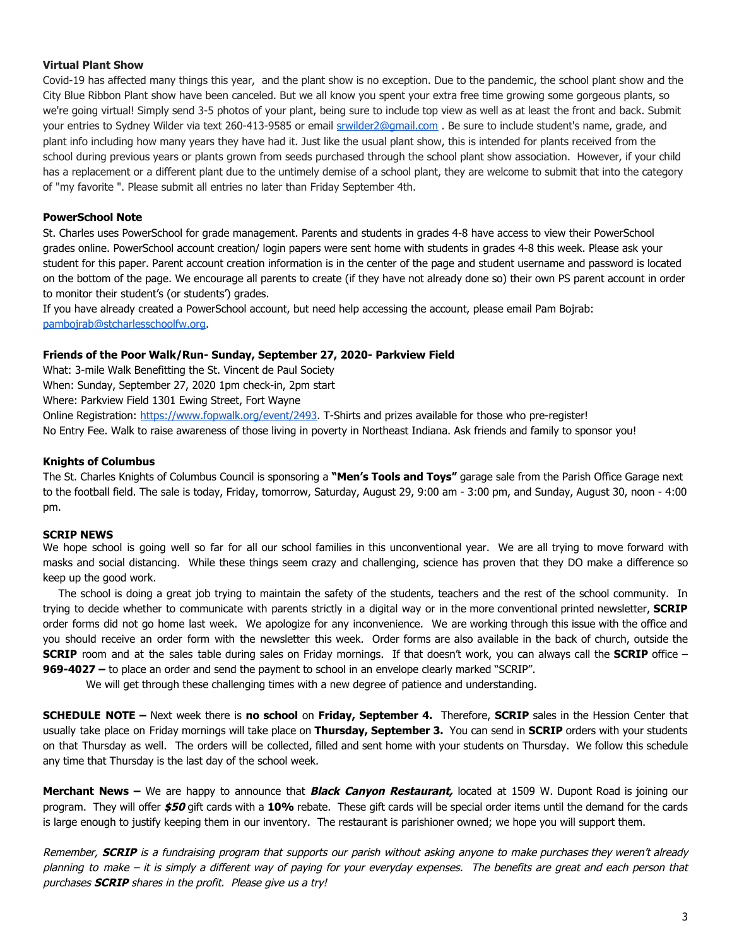# **Virtual Plant Show**

Covid-19 has affected many things this year, and the plant show is no exception. Due to the pandemic, the school plant show and the City Blue Ribbon Plant show have been canceled. But we all know you spent your extra free time growing some gorgeous plants, so we're going virtual! Simply send 3-5 photos of your plant, being sure to include top view as well as at least the front and back. Submit your entries to Sydney Wilder via text 260-413-9585 or email srwilder2@gmail.com. Be sure to include student's name, grade, and plant info including how many years they have had it. Just like the usual plant show, this is intended for plants received from the school during previous years or plants grown from seeds purchased through the school plant show association. However, if your child has a replacement or a different plant due to the untimely demise of a school plant, they are welcome to submit that into the category of "my favorite ". Please submit all entries no later than Friday September 4th.

# **PowerSchool Note**

St. Charles uses PowerSchool for grade management. Parents and students in grades 4-8 have access to view their PowerSchool grades online. PowerSchool account creation/ login papers were sent home with students in grades 4-8 this week. Please ask your student for this paper. Parent account creation information is in the center of the page and student username and password is located on the bottom of the page. We encourage all parents to create (if they have not already done so) their own PS parent account in order to monitor their student's (or students') grades.

If you have already created a PowerSchool account, but need help accessing the account, please email Pam Bojrab: [pambojrab@stcharlesschoolfw.org](mailto:pambojrab@stcharlesschoolfw.org).

# **Friends of the Poor Walk/Run- Sunday, September 27, 2020- Parkview Field**

What: 3-mile Walk Benefitting the St. Vincent de Paul Society

When: Sunday, September 27, 2020 1pm check-in, 2pm start

Where: Parkview Field 1301 Ewing Street, Fort Wayne

Online Registration: [https://www.fopwalk.org/event/2493.](https://www.fopwalk.org/event/2493) T-Shirts and prizes available for those who pre-register!

No Entry Fee. Walk to raise awareness of those living in poverty in Northeast Indiana. Ask friends and family to sponsor you!

# **Knights of Columbus**

The St. Charles Knights of Columbus Council is sponsoring a **"Men's Tools and Toys"** garage sale from the Parish Office Garage next to the football field. The sale is today, Friday, tomorrow, Saturday, August 29, 9:00 am - 3:00 pm, and Sunday, August 30, noon - 4:00 pm.

#### **SCRIP NEWS**

We hope school is going well so far for all our school families in this unconventional year. We are all trying to move forward with masks and social distancing. While these things seem crazy and challenging, science has proven that they DO make a difference so keep up the good work.

The school is doing a great job trying to maintain the safety of the students, teachers and the rest of the school community. In trying to decide whether to communicate with parents strictly in a digital way or in the more conventional printed newsletter, **SCRIP** order forms did not go home last week. We apologize for any inconvenience. We are working through this issue with the office and you should receive an order form with the newsletter this week. Order forms are also available in the back of church, outside the **SCRIP** room and at the sales table during sales on Friday mornings. If that doesn't work, you can always call the **SCRIP** office – **969-4027 –** to place an order and send the payment to school in an envelope clearly marked "SCRIP".

We will get through these challenging times with a new degree of patience and understanding.

**SCHEDULE NOTE –** Next week there is **no school** on **Friday, September 4.** Therefore, **SCRIP** sales in the Hession Center that usually take place on Friday mornings will take place on **Thursday, September 3.** You can send in **SCRIP** orders with your students on that Thursday as well. The orders will be collected, filled and sent home with your students on Thursday. We follow this schedule any time that Thursday is the last day of the school week.

**Merchant News –** We are happy to announce that **Black Canyon Restaurant,** located at 1509 W. Dupont Road is joining our program. They will offer **\$50** gift cards with a **10%** rebate. These gift cards will be special order items until the demand for the cards is large enough to justify keeping them in our inventory. The restaurant is parishioner owned; we hope you will support them.

Remember, **SCRIP** is <sup>a</sup> fundraising program that supports our parish without asking anyone to make purchases they weren't already planning to make – it is simply <sup>a</sup> different way of paying for your everyday expenses. The benefits are great and each person that purchases **SCRIP** shares in the profit. Please give us a try!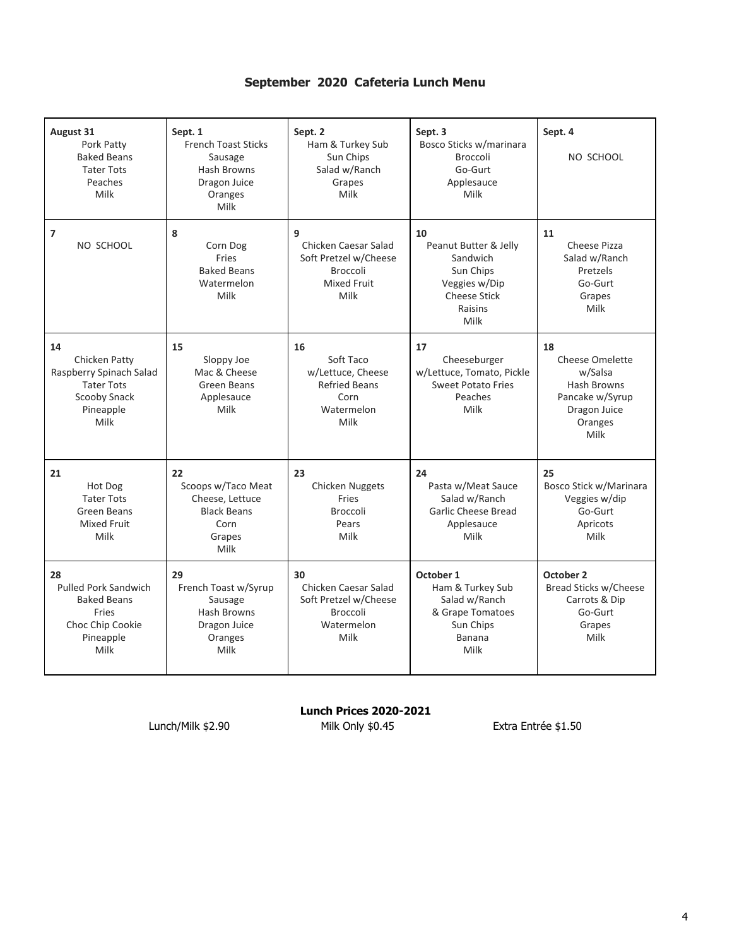# **September 2020 Cafeteria Lunch Menu**

| <b>August 31</b><br>Pork Patty<br><b>Baked Beans</b><br><b>Tater Tots</b><br>Peaches<br>Milk              | Sept. 1<br><b>French Toast Sticks</b><br>Sausage<br><b>Hash Browns</b><br>Dragon Juice<br>Oranges<br>Milk | Sept. 2<br>Ham & Turkey Sub<br>Sun Chips<br>Salad w/Ranch<br>Grapes<br>Milk                         | Sept. 3<br>Bosco Sticks w/marinara<br><b>Broccoli</b><br>Go-Gurt<br>Applesauce<br>Milk                          | Sept. 4<br>NO SCHOOL                                                                                         |
|-----------------------------------------------------------------------------------------------------------|-----------------------------------------------------------------------------------------------------------|-----------------------------------------------------------------------------------------------------|-----------------------------------------------------------------------------------------------------------------|--------------------------------------------------------------------------------------------------------------|
| 7<br>NO SCHOOL                                                                                            | 8<br>Corn Dog<br>Fries<br><b>Baked Beans</b><br>Watermelon<br>Milk                                        | 9<br>Chicken Caesar Salad<br>Soft Pretzel w/Cheese<br><b>Broccoli</b><br><b>Mixed Fruit</b><br>Milk | 10<br>Peanut Butter & Jelly<br>Sandwich<br>Sun Chips<br>Veggies w/Dip<br><b>Cheese Stick</b><br>Raisins<br>Milk | 11<br>Cheese Pizza<br>Salad w/Ranch<br>Pretzels<br>Go-Gurt<br>Grapes<br>Milk                                 |
| 14<br>Chicken Patty<br>Raspberry Spinach Salad<br><b>Tater Tots</b><br>Scooby Snack<br>Pineapple<br>Milk  | 15<br>Sloppy Joe<br>Mac & Cheese<br>Green Beans<br>Applesauce<br>Milk                                     | 16<br>Soft Taco<br>w/Lettuce, Cheese<br><b>Refried Beans</b><br>Corn<br>Watermelon<br>Milk          | 17<br>Cheeseburger<br>w/Lettuce, Tomato, Pickle<br><b>Sweet Potato Fries</b><br>Peaches<br>Milk                 | 18<br><b>Cheese Omelette</b><br>w/Salsa<br>Hash Browns<br>Pancake w/Syrup<br>Dragon Juice<br>Oranges<br>Milk |
| 21<br>Hot Dog<br><b>Tater Tots</b><br>Green Beans<br><b>Mixed Fruit</b><br>Milk                           | 22<br>Scoops w/Taco Meat<br>Cheese, Lettuce<br><b>Black Beans</b><br>Corn<br>Grapes<br>Milk               | 23<br>Chicken Nuggets<br>Fries<br><b>Broccoli</b><br>Pears<br>Milk                                  | 24<br>Pasta w/Meat Sauce<br>Salad w/Ranch<br><b>Garlic Cheese Bread</b><br>Applesauce<br>Milk                   | 25<br>Bosco Stick w/Marinara<br>Veggies w/dip<br>Go-Gurt<br>Apricots<br>Milk                                 |
| 28<br><b>Pulled Pork Sandwich</b><br><b>Baked Beans</b><br>Fries<br>Choc Chip Cookie<br>Pineapple<br>Milk | 29<br>French Toast w/Syrup<br>Sausage<br><b>Hash Browns</b><br>Dragon Juice<br>Oranges<br>Milk            | 30<br>Chicken Caesar Salad<br>Soft Pretzel w/Cheese<br><b>Broccoli</b><br>Watermelon<br>Milk        | October 1<br>Ham & Turkey Sub<br>Salad w/Ranch<br>& Grape Tomatoes<br>Sun Chips<br><b>Banana</b><br>Milk        | October 2<br>Bread Sticks w/Cheese<br>Carrots & Dip<br>Go-Gurt<br>Grapes<br>Milk                             |

**Lunch Prices 2020-2021** Lunch/Milk \$2.90 Milk Only \$0.45 Extra Entrée \$1.50